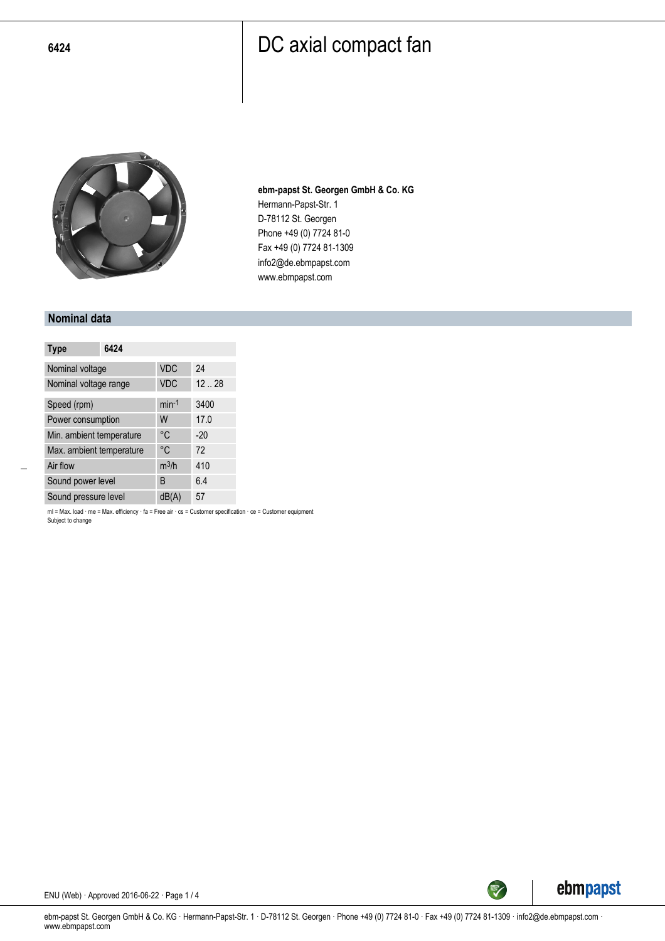

**ebm-papst St. Georgen GmbH & Co. KG** Hermann-Papst-Str. 1 D-78112 St. Georgen Phone +49 (0) 7724 81-0 Fax +49 (0) 7724 81-1309 info2@de.ebmpapst.com www.ebmpapst.com

#### **Nominal data**

| <b>Type</b>              | 6424 |            |       |
|--------------------------|------|------------|-------|
| Nominal voltage          |      | <b>VDC</b> | 24    |
| Nominal voltage range    |      | <b>VDC</b> | 12.28 |
| Speed (rpm)              |      | $min-1$    | 3400  |
| Power consumption        |      | W          | 17.0  |
| Min. ambient temperature |      | °C         | $-20$ |
| Max. ambient temperature |      | °C         | 72    |
| Air flow                 |      | $m^3/h$    | 410   |
| Sound power level        |      | B          | 6.4   |
| Sound pressure level     |      | dB(A)      | 57    |

ml = Max. load · me = Max. efficiency · fa = Free air · cs = Customer specification · ce = Customer equipment Subject to change



ebm-papst St. Georgen GmbH & Co. KG · Hermann-Papst-Str. 1 · D-78112 St. Georgen · Phone +49 (0) 7724 81-0 · Fax +49 (0) 7724 81-1309 · info2@de.ebmpapst.com · www.ebmpapst.com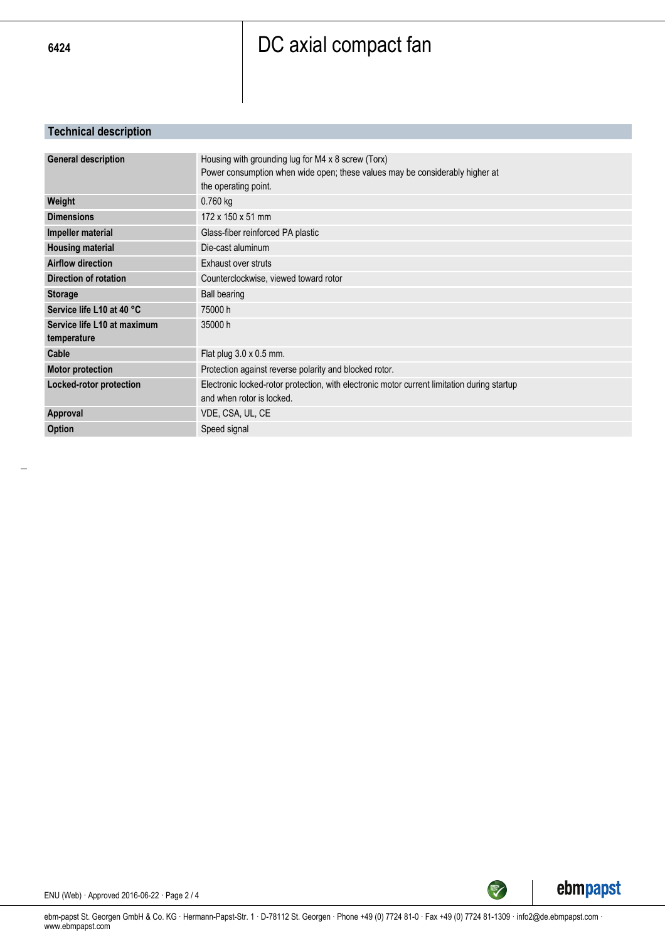#### **Technical description**

| <b>General description</b>  | Housing with grounding lug for M4 x 8 screw (Torx)                                          |
|-----------------------------|---------------------------------------------------------------------------------------------|
|                             | Power consumption when wide open; these values may be considerably higher at                |
|                             | the operating point.                                                                        |
| Weight                      | $0.760$ kg                                                                                  |
| <b>Dimensions</b>           | 172 x 150 x 51 mm                                                                           |
| Impeller material           | Glass-fiber reinforced PA plastic                                                           |
| <b>Housing material</b>     | Die-cast aluminum                                                                           |
| <b>Airflow direction</b>    | Exhaust over struts                                                                         |
| Direction of rotation       | Counterclockwise, viewed toward rotor                                                       |
| <b>Storage</b>              | <b>Ball bearing</b>                                                                         |
| Service life L10 at 40 °C   | 75000 h                                                                                     |
| Service life L10 at maximum | 35000 h                                                                                     |
| temperature                 |                                                                                             |
| Cable                       | Flat plug $3.0 \times 0.5$ mm.                                                              |
| <b>Motor protection</b>     | Protection against reverse polarity and blocked rotor.                                      |
| Locked-rotor protection     | Electronic locked-rotor protection, with electronic motor current limitation during startup |
|                             | and when rotor is locked.                                                                   |
| Approval                    | VDE, CSA, UL, CE                                                                            |
| <b>Option</b>               | Speed signal                                                                                |
|                             |                                                                                             |



SREEN

ENU (Web) · Approved 2016-06-22 · Page 2 / 4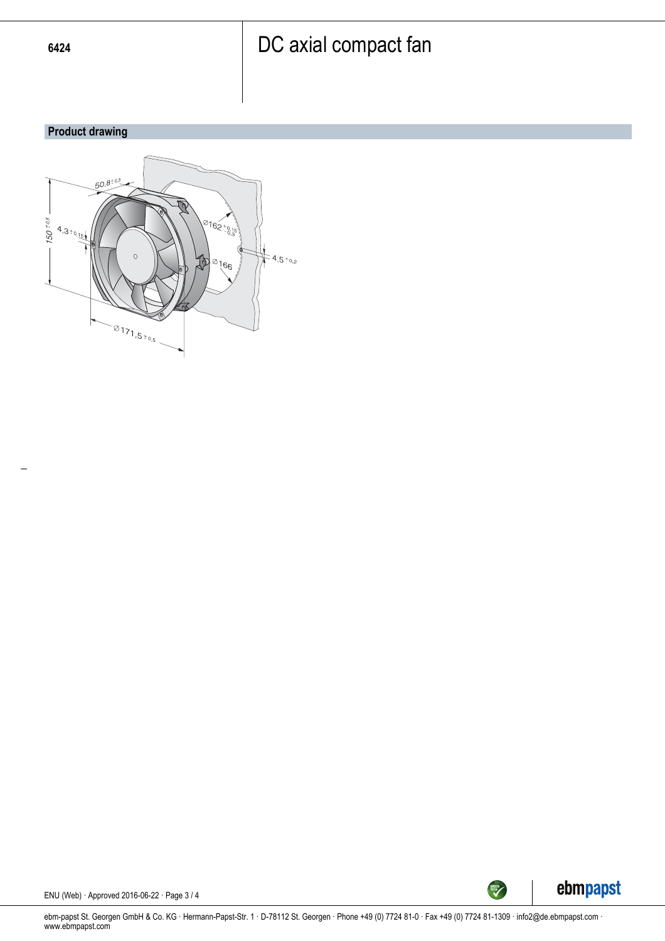#### **Product drawing**





ENU (Web) · Approved 2016-06-22 · Page 3 / 4

ebm-papst St. Georgen GmbH & Co. KG · Hermann-Papst-Str. 1 · D-78112 St. Georgen · Phone +49 (0) 7724 81-0 · Fax +49 (0) 7724 81-1309 · info2@de.ebmpapst.com · www.ebmpapst.com